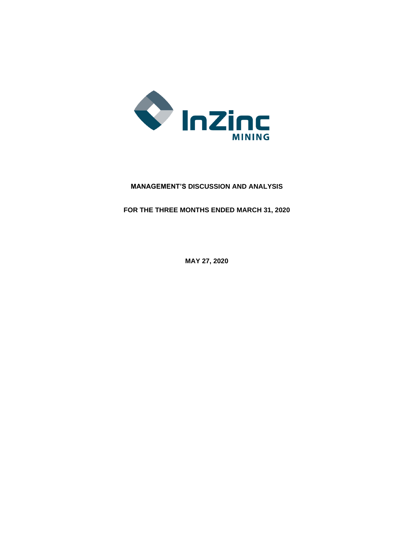

# **MANAGEMENT'S DISCUSSION AND ANALYSIS**

**FOR THE THREE MONTHS ENDED MARCH 31, 2020**

**MAY 27, 2020**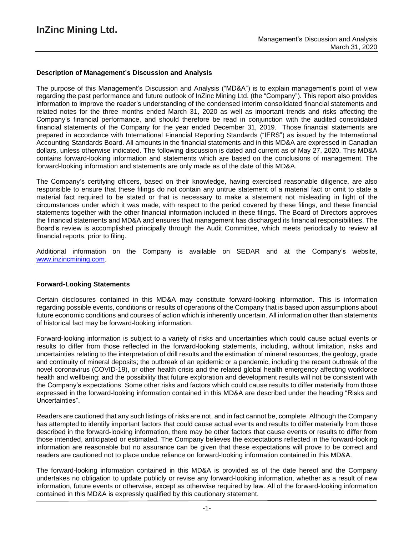### **Description of Management's Discussion and Analysis**

The purpose of this Management's Discussion and Analysis ("MD&A") is to explain management's point of view regarding the past performance and future outlook of InZinc Mining Ltd. (the "Company"). This report also provides information to improve the reader's understanding of the condensed interim consolidated financial statements and related notes for the three months ended March 31, 2020 as well as important trends and risks affecting the Company's financial performance, and should therefore be read in conjunction with the audited consolidated financial statements of the Company for the year ended December 31, 2019. Those financial statements are prepared in accordance with International Financial Reporting Standards ("IFRS") as issued by the International Accounting Standards Board. All amounts in the financial statements and in this MD&A are expressed in Canadian dollars, unless otherwise indicated. The following discussion is dated and current as of May 27, 2020. This MD&A contains forward-looking information and statements which are based on the conclusions of management. The forward-looking information and statements are only made as of the date of this MD&A.

The Company's certifying officers, based on their knowledge, having exercised reasonable diligence, are also responsible to ensure that these filings do not contain any untrue statement of a material fact or omit to state a material fact required to be stated or that is necessary to make a statement not misleading in light of the circumstances under which it was made, with respect to the period covered by these filings, and these financial statements together with the other financial information included in these filings. The Board of Directors approves the financial statements and MD&A and ensures that management has discharged its financial responsibilities. The Board's review is accomplished principally through the Audit Committee, which meets periodically to review all financial reports, prior to filing.

Additional information on the Company is available on SEDAR and at the Company's website, www.inzincmining.com.

#### **Forward-Looking Statements**

Certain disclosures contained in this MD&A may constitute forward-looking information. This is information regarding possible events, conditions or results of operations of the Company that is based upon assumptions about future economic conditions and courses of action which is inherently uncertain. All information other than statements of historical fact may be forward-looking information.

Forward-looking information is subject to a variety of risks and uncertainties which could cause actual events or results to differ from those reflected in the forward-looking statements, including, without limitation, risks and uncertainties relating to the interpretation of drill results and the estimation of mineral resources, the geology, grade and continuity of mineral deposits; the outbreak of an epidemic or a pandemic, including the recent outbreak of the novel coronavirus (COVID-19), or other health crisis and the related global health emergency affecting workforce health and wellbeing; and the possibility that future exploration and development results will not be consistent with the Company's expectations. Some other risks and factors which could cause results to differ materially from those expressed in the forward-looking information contained in this MD&A are described under the heading "Risks and Uncertainties".

Readers are cautioned that any such listings of risks are not, and in fact cannot be, complete. Although the Company has attempted to identify important factors that could cause actual events and results to differ materially from those described in the forward-looking information, there may be other factors that cause events or results to differ from those intended, anticipated or estimated. The Company believes the expectations reflected in the forward-looking information are reasonable but no assurance can be given that these expectations will prove to be correct and readers are cautioned not to place undue reliance on forward-looking information contained in this MD&A.

The forward-looking information contained in this MD&A is provided as of the date hereof and the Company undertakes no obligation to update publicly or revise any forward-looking information, whether as a result of new information, future events or otherwise, except as otherwise required by law. All of the forward-looking information contained in this MD&A is expressly qualified by this cautionary statement.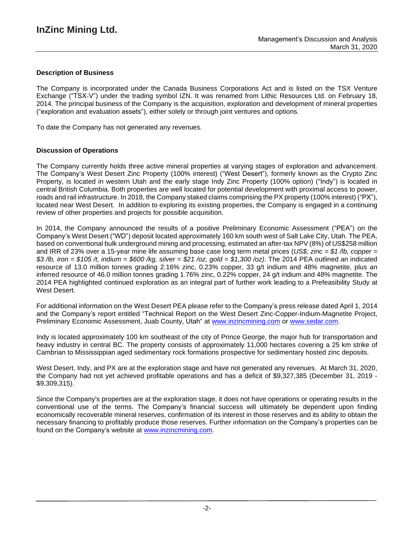### **Description of Business**

The Company is incorporated under the Canada Business Corporations Act and is listed on the TSX Venture Exchange ("TSX-V") under the trading symbol IZN. It was renamed from Lithic Resources Ltd. on February 18, 2014. The principal business of the Company is the acquisition, exploration and development of mineral properties ("exploration and evaluation assets"), either solely or through joint ventures and options.

To date the Company has not generated any revenues.

### **Discussion of Operations**

The Company currently holds three active mineral properties at varying stages of exploration and advancement. The Company's West Desert Zinc Property (100% interest) ("West Desert"), formerly known as the Crypto Zinc Property, is located in western Utah and the early stage Indy Zinc Property (100% option) ("Indy") is located in central British Columbia. Both properties are well located for potential development with proximal access to power, roads and rail infrastructure. In 2018, the Company staked claims comprising the PX property (100% interest) ("PX"), located near West Desert. In addition to exploring its existing properties, the Company is engaged in a continuing review of other properties and projects for possible acquisition.

In 2014, the Company announced the results of a positive Preliminary Economic Assessment ("PEA") on the Company's West Desert ("WD") deposit located approximately 160 km south west of Salt Lake City, Utah. The PEA, based on conventional bulk underground mining and processing, estimated an after-tax NPV (8%) of US\$258 million and IRR of 23% over a 15-year mine life assuming base case long term metal prices (*US\$; zinc = \$1 /lb, copper =* \$3/lb, iron = \$105/t, indium = \$600/kg, silver = \$21/oz, gold = \$1,300/oz). The 2014 PEA outlined an indicated resource of 13.0 million tonnes grading 2.16% zinc, 0.23% copper, 33 g/t indium and 48% magnetite, plus an inferred resource of 46.0 million tonnes grading 1.76% zinc, 0.22% copper, 24 g/t indium and 48% magnetite. The 2014 PEA highlighted continued exploration as an integral part of further work leading to a Prefeasibility Study at West Desert.

For additional information on the West Desert PEA please refer to the Company's press release dated April 1, 2014 and the Company's report entitled "Technical Report on the West Desert Zinc-Copper-Indium-Magnetite Project, Preliminary Economic Assessment, Juab County, Utah" at [www.inzincmining.com](http://www.inzincmining.com/) or [www.sedar.com.](http://www.sedar.com/)

Indy is located approximately 100 km southeast of the city of Prince George, the major hub for transportation and heavy industry in central BC. The property consists of approximately 11,000 hectares covering a 25 km strike of Cambrian to Mississippian aged sedimentary rock formations prospective for sedimentary hosted zinc deposits.

West Desert, Indy, and PX are at the exploration stage and have not generated any revenues. At March 31, 2020, the Company had not yet achieved profitable operations and has a deficit of \$9,327,385 (December 31, 2019 - \$9,309,315).

Since the Company's properties are at the exploration stage, it does not have operations or operating results in the conventional use of the terms. The Company's financial success will ultimately be dependent upon finding economically recoverable mineral reserves, confirmation of its interest in those reserves and its ability to obtain the necessary financing to profitably produce those reserves. Further information on the Company's properties can be found on the Company's website at www.inzincmining.com.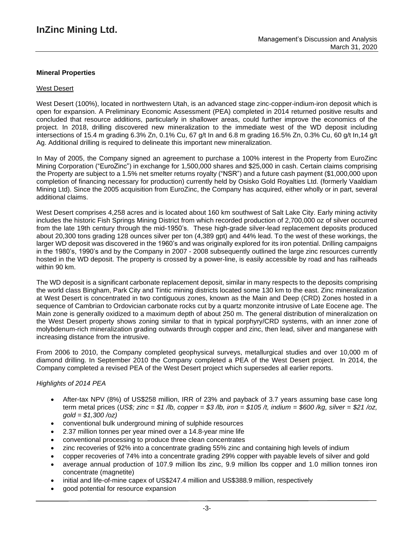### **Mineral Properties**

### West Desert

West Desert (100%), located in northwestern Utah, is an advanced stage zinc-copper-indium-iron deposit which is open for expansion. A Preliminary Economic Assessment (PEA) completed in 2014 returned positive results and concluded that resource additions, particularly in shallower areas, could further improve the economics of the project. In 2018, drilling discovered new mineralization to the immediate west of the WD deposit including intersections of 15.4 m grading 6.3% Zn, 0.1% Cu, 67 g/t In and 6.8 m grading 16.5% Zn, 0.3% Cu, 60 g/t In,14 g/t Ag. Additional drilling is required to delineate this important new mineralization.

In May of 2005, the Company signed an agreement to purchase a 100% interest in the Property from EuroZinc Mining Corporation ("EuroZinc") in exchange for 1,500,000 shares and \$25,000 in cash. Certain claims comprising the Property are subject to a 1.5% net smelter returns royalty ("NSR") and a future cash payment (\$1,000,000 upon completion of financing necessary for production) currently held by Osisko Gold Royalties Ltd. (formerly Vaaldiam Mining Ltd). Since the 2005 acquisition from EuroZinc, the Company has acquired, either wholly or in part, several additional claims.

West Desert comprises 4,258 acres and is located about 160 km southwest of Salt Lake City. Early mining activity includes the historic Fish Springs Mining District from which recorded production of 2,700,000 oz of silver occurred from the late 19th century through the mid-1950's. These high-grade silver-lead replacement deposits produced about 20,300 tons grading 128 ounces silver per ton (4,389 gpt) and 44% lead. To the west of these workings, the larger WD deposit was discovered in the 1960's and was originally explored for its iron potential. Drilling campaigns in the 1980's, 1990's and by the Company in 2007 - 2008 subsequently outlined the large zinc resources currently hosted in the WD deposit. The property is crossed by a power-line, is easily accessible by road and has railheads within 90 km.

The WD deposit is a significant carbonate replacement deposit, similar in many respects to the deposits comprising the world class Bingham, Park City and Tintic mining districts located some 130 km to the east. Zinc mineralization at West Desert is concentrated in two contiguous zones, known as the Main and Deep (CRD) Zones hosted in a sequence of Cambrian to Ordovician carbonate rocks cut by a quartz monzonite intrusive of Late Eocene age. The Main zone is generally oxidized to a maximum depth of about 250 m. The general distribution of mineralization on the West Desert property shows zoning similar to that in typical porphyry/CRD systems, with an inner zone of molybdenum-rich mineralization grading outwards through copper and zinc, then lead, silver and manganese with increasing distance from the intrusive.

From 2006 to 2010, the Company completed geophysical surveys, metallurgical studies and over 10,000 m of diamond drilling. In September 2010 the Company completed a PEA of the West Desert project. In 2014, the Company completed a revised PEA of the West Desert project which supersedes all earlier reports.

#### *Highlights of 2014 PEA*

- After-tax NPV (8%) of US\$258 million, IRR of 23% and payback of 3.7 years assuming base case long term metal prices (US\$; zinc = \$1 /b, copper = \$3 /b, iron = \$105 /t, indium = \$600 /kg, silver = \$21 /oz, *gold = \$1,300 /oz)*
- conventional bulk underground mining of sulphide resources
- 2.37 million tonnes per year mined over a 14.8-year mine life
- conventional processing to produce three clean concentrates
- zinc recoveries of 92% into a concentrate grading 55% zinc and containing high levels of indium
- copper recoveries of 74% into a concentrate grading 29% copper with payable levels of silver and gold
- average annual production of 107.9 million lbs zinc, 9.9 million lbs copper and 1.0 million tonnes iron concentrate (magnetite)
- initial and life-of-mine capex of US\$247.4 million and US\$388.9 million, respectively
- good potential for resource expansion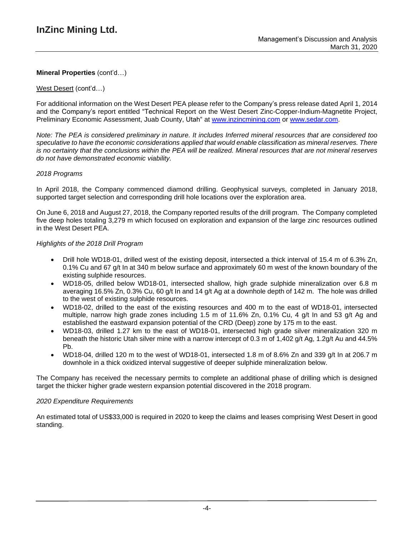### West Desert (cont'd…)

For additional information on the West Desert PEA please refer to the Company's press release dated April 1, 2014 and the Company's report entitled "Technical Report on the West Desert Zinc-Copper-Indium-Magnetite Project, Preliminary Economic Assessment, Juab County, Utah" at [www.inzincmining.com](http://www.inzincmining.com/) or [www.sedar.com.](http://www.sedar.com/)

Note: The PEA is considered preliminary in nature. It includes Inferred mineral resources that are considered too *speculative to have the economic considerations applied that would enable classification as mineral reserves. There* is no certainty that the conclusions within the PEA will be realized. Mineral resources that are not mineral reserves *do not have demonstrated economic viability.*

### *2018 Programs*

In April 2018, the Company commenced diamond drilling. Geophysical surveys, completed in January 2018, supported target selection and corresponding drill hole locations over the exploration area.

On June 6, 2018 and August 27, 2018, the Company reported results of the drill program. The Company completed five deep holes totaling 3,279 m which focused on exploration and expansion of the large zinc resources outlined in the West Desert PEA.

### *Highlights of the 2018 Drill Program*

- Drill hole WD18-01, drilled west of the existing deposit, intersected a thick interval of 15.4 m of 6.3% Zn, 0.1% Cu and 67 g/t In at 340 m below surface and approximately 60 m west of the known boundary of the existing sulphide resources.
- WD18-05, drilled below WD18-01, intersected shallow, high grade sulphide mineralization over 6.8 m averaging 16.5% Zn, 0.3% Cu, 60 g/t In and 14 g/t Ag at a downhole depth of 142 m. The hole was drilled to the west of existing sulphide resources.
- WD18-02, drilled to the east of the existing resources and 400 m to the east of WD18-01, intersected multiple, narrow high grade zones including 1.5 m of 11.6% Zn, 0.1% Cu, 4 g/t In and 53 g/t Ag and established the eastward expansion potential of the CRD (Deep) zone by 175 m to the east.
- WD18-03, drilled 1.27 km to the east of WD18-01, intersected high grade silver mineralization 320 m beneath the historic Utah silver mine with a narrow intercept of 0.3 m of 1,402 g/t Ag, 1.2g/t Au and 44.5% Pb.
- WD18-04, drilled 120 m to the west of WD18-01, intersected 1.8 m of 8.6% Zn and 339  $\alpha/t$  In at 206.7 m downhole in a thick oxidized interval suggestive of deeper sulphide mineralization below.

The Company has received the necessary permits to complete an additional phase of drilling which is designed target the thicker higher grade western expansion potential discovered in the 2018 program.

#### *2020 Expenditure Requirements*

An estimated total of US\$33,000 is required in 2020 to keep the claims and leases comprising West Desert in good standing.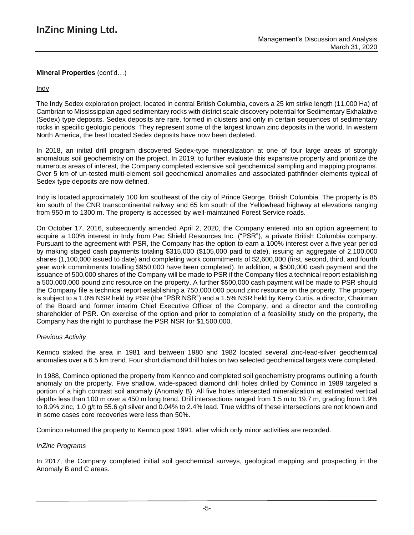## Indy

The Indy Sedex exploration project, located in central British Columbia, covers a 25 km strike length (11,000 Ha) of Cambrian to Mississippian aged sedimentary rocks with district scale discovery potential for Sedimentary Exhalative (Sedex) type deposits. Sedex deposits are rare, formed in clusters and only in certain sequences of sedimentary rocks in specific geologic periods. They represent some of the largest known zinc deposits in the world. In western North America, the best located Sedex deposits have now been depleted.

In 2018, an initial drill program discovered Sedex-type mineralization at one of four large areas of strongly anomalous soil geochemistry on the project. In 2019, to further evaluate this expansive property and prioritize the numerous areas of interest, the Company completed extensive soil geochemical sampling and mapping programs. Over 5 km of un-tested multi-element soil geochemical anomalies and associated pathfinder elements typical of Sedex type deposits are now defined.

Indy is located approximately 100 km southeast of the city of Prince George, British Columbia. The property is 85 km south of the CNR transcontinental railway and 65 km south of the Yellowhead highway at elevations ranging from 950 m to 1300 m. The property is accessed by well-maintained Forest Service roads.

On October 17, 2016, subsequently amended April 2, 2020, the Company entered into an option agreement to acquire a 100% interest in Indy from Pac Shield Resources Inc. ("PSR"), a private British Columbia company. Pursuant to the agreement with PSR, the Company has the option to earn a 100% interest over a five year period by making staged cash payments totaling \$315,000 (\$105,000 paid to date), issuing an aggregate of 2,100,000 shares (1,100,000 issued to date) and completing work commitments of \$2,600,000 (first, second, third, and fourth year work commitments totalling \$950,000 have been completed). In addition, a \$500,000 cash payment and the issuance of 500,000 shares of the Company will be made to PSR if the Company files a technical report establishing a 500,000,000 pound zinc resource on the property. A further \$500,000 cash payment will be made to PSR should the Company file a technical report establishing a 750,000,000 pound zinc resource on the property. The property is subject to a 1.0% NSR held by PSR (the "PSR NSR") and a 1.5% NSR held by Kerry Curtis, a director, Chairman of the Board and former interim Chief Executive Officer of the Company, and a director and the controlling shareholder of PSR. On exercise of the option and prior to completion of a feasibility study on the property, the Company has the right to purchase the PSR NSR for \$1,500,000.

### *Previous Activity*

Kennco staked the area in 1981 and between 1980 and 1982 located several zinc-lead-silver geochemical anomalies over a 6.5 km trend. Four short diamond drill holes on two selected geochemical targets were completed.

In 1988, Cominco optioned the property from Kennco and completed soil geochemistry programs outlining a fourth anomaly on the property. Five shallow, wide-spaced diamond drill holes drilled by Cominco in 1989 targeted a portion of a high contrast soil anomaly (Anomaly B). All five holes intersected mineralization at estimated vertical depths less than 100 m over a 450 m long trend. Drill intersections ranged from 1.5 m to 19.7 m, grading from 1.9% to 8.9% zinc, 1.0 g/t to 55.6 g/t silver and 0.04% to 2.4% lead. True widths of these intersections are not known and in some cases core recoveries were less than 50%.

Cominco returned the property to Kennco post 1991, after which only minor activities are recorded.

### *InZinc Programs*

In 2017, the Company completed initial soil geochemical surveys, geological mapping and prospecting in the Anomaly B and C areas.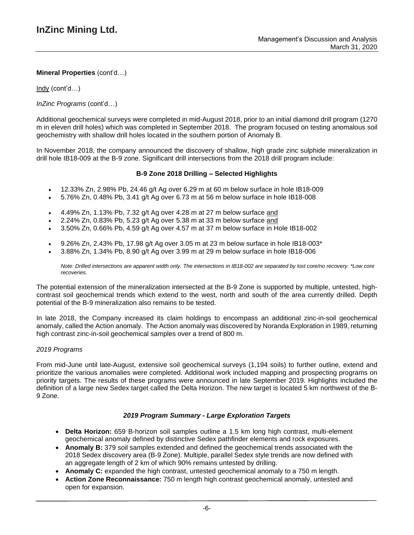Indy (cont'd…)

*InZinc Programs* (cont'd…)

Additional geochemical surveys were completed in mid-August 2018, prior to an initial diamond drill program (1270 m in eleven drill holes) which was completed in September 2018. The program focused on testing anomalous soil geochemistry with shallow drill holes located in the southern portion of Anomaly B.

In November 2018, the company announced the discovery of shallow, high grade zinc sulphide mineralization in drill hole IB18-009 at the B-9 zone. Significant drill intersections from the 2018 drill program include:

### **B-9 Zone 2018 Drilling – Selected Highlights**

- $\bullet$  12.33% Zn, 2.98% Pb, 24.46 g/t Ag over 6.29 m at 60 m below surface in hole IB18-009
- 5.76% Zn, 0.48% Pb, 3.41 g/t Ag over 6.73 m at 56 m below surface in hole IB18-008
- 4.49% Zn, 1.13% Pb, 7.32 g/t Ag over 4.28 m at 27 m below surface and
- 2.24% Zn, 0.83% Pb, 5.23 g/t Ag over 5.38 m at 33 m below surface and
- 3.50% Zn, 0.66% Pb, 4.59 g/t Ag over 4.57 m at 37 m below surface in Hole IB18-002
- 9.26% Zn, 2.43% Pb, 17.98 g/t Ag over 3.05 m at 23 m below surface in hole IB18-003\*
- 3.88% Zn, 1.34% Pb, 8.90 g/t Ag over 3.99 m at 29 m below surface in hole IB18-006

Note: Drilled intersections are apparent width only. The intersections in IB18-002 are separated by lost core/no recovery. \*Low core *recoveries.*

The potential extension of the mineralization intersected at the B-9 Zone is supported by multiple, untested, highcontrast soil geochemical trends which extend to the west, north and south of the area currently drilled. Depth potential of the B-9 mineralization also remains to be tested.

In late 2018, the Company increased its claim holdings to encompass an additional zinc-in-soil geochemical anomaly, called the Action anomaly. The Action anomaly was discovered by Noranda Exploration in 1989, returning high contrast zinc-in-soil geochemical samples over a trend of 800 m.

#### *2019 Programs*

From mid-June until late-August, extensive soil geochemical surveys (1,194 soils) to further outline, extend and prioritize the various anomalies were completed. Additional work included mapping and prospecting programs on priority targets. The results of these programs were announced in late September 2019. Highlights included the definition of a large new Sedex target called the Delta Horizon. The new target is located 5 km northwest of the B-9 Zone.

#### *2019 Program Summary - Large Exploration Targets*

- **Delta Horizon:** 659 B-horizon soil samples outline a 1.5 km long high contrast, multi-element geochemical anomaly defined by distinctive Sedex pathfinder elements and rock exposures.
- **Anomaly B:** 379 soil samples extended and defined the geochemical trends associated with the 2018 Sedex discovery area (B-9 Zone). Multiple, parallel Sedex style trends are now defined with an aggregate length of 2 km of which 90% remains untested by drilling.
- **Anomaly C:** expanded the high contrast, untested geochemical anomaly to a 750 m length.
- **Action Zone Reconnaissance:** 750 m length high contrast geochemical anomaly, untested and open for expansion.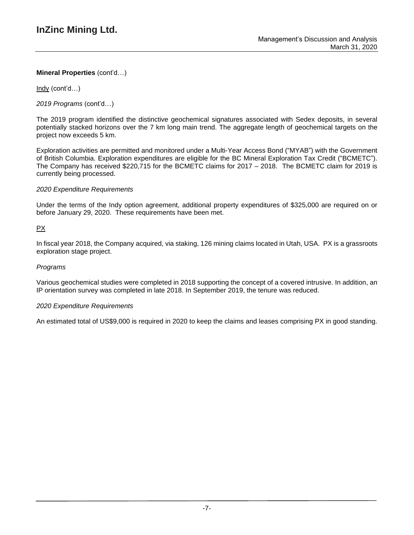Indy (cont'd…)

*2019 Programs* (cont'd…)

The 2019 program identified the distinctive geochemical signatures associated with Sedex deposits, in several potentially stacked horizons over the 7 km long main trend. The aggregate length of geochemical targets on the project now exceeds 5 km.

Exploration activities are permitted and monitored under a Multi-Year Access Bond ("MYAB") with the Government of British Columbia. Exploration expenditures are eligible for the BC Mineral Exploration Tax Credit ("BCMETC"). The Company has received \$220,715 for the BCMETC claims for 2017 – 2018. The BCMETC claim for 2019 is currently being processed.

### *2020 Expenditure Requirements*

Under the terms of the Indy option agreement, additional property expenditures of \$325,000 are required on or before January 29, 2020. These requirements have been met.

### PX

In fiscal year 2018, the Company acquired, via staking, 126 mining claims located in Utah, USA. PX is a grassroots exploration stage project.

### *Programs*

Various geochemical studies were completed in 2018 supporting the concept of a covered intrusive. In addition, an IP orientation survey was completed in late 2018. In September 2019, the tenure was reduced.

#### *2020 Expenditure Requirements*

An estimated total of US\$9,000 is required in 2020 to keep the claims and leases comprising PX in good standing.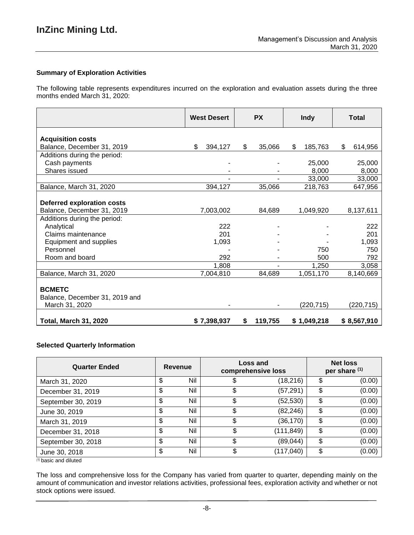### **Summary of Exploration Activities**

The following table represents expenditures incurred on the exploration and evaluation assets during the three months ended March 31, 2020:

|                                                                   | <b>West Desert</b> | <b>PX</b>     | <b>Indy</b>   | <b>Total</b>  |  |
|-------------------------------------------------------------------|--------------------|---------------|---------------|---------------|--|
| <b>Acquisition costs</b>                                          |                    |               |               |               |  |
| Balance, December 31, 2019                                        | \$<br>394,127      | \$<br>35,066  | \$<br>185,763 | \$<br>614,956 |  |
| Additions during the period:                                      |                    |               |               |               |  |
| Cash payments                                                     |                    |               | 25,000        | 25,000        |  |
| Shares issued                                                     |                    |               | 8,000         | 8,000         |  |
|                                                                   |                    |               | 33,000        | 33,000        |  |
| Balance, March 31, 2020                                           | 394,127            | 35,066        | 218,763       | 647,956       |  |
| <b>Deferred exploration costs</b>                                 |                    |               |               |               |  |
| Balance, December 31, 2019                                        | 7,003,002          | 84,689        | 1,049,920     | 8,137,611     |  |
| Additions during the period:                                      |                    |               |               |               |  |
| Analytical                                                        | 222                |               |               | 222           |  |
| Claims maintenance                                                | 201                |               |               | 201           |  |
| Equipment and supplies                                            | 1,093              |               |               | 1,093         |  |
| Personnel                                                         |                    |               | 750           | 750           |  |
| Room and board                                                    | 292                |               | 500           | 792           |  |
|                                                                   | 1,808              |               | 1,250         | 3,058         |  |
| Balance, March 31, 2020                                           | 7,004,810          | 84,689        | 1,051,170     | 8,140,669     |  |
| <b>BCMETC</b><br>Balance, December 31, 2019 and<br>March 31, 2020 |                    |               | (220, 715)    | (220,715)     |  |
| <b>Total, March 31, 2020</b>                                      | \$7,398,937        | 119,755<br>\$ | \$1,049,218   | \$8,567,910   |  |

### **Selected Quarterly Information**

| <b>Quarter Ended</b> | Loss and<br>Revenue<br>comprehensive loss |    | <b>Net loss</b><br>per share (1) |    |        |
|----------------------|-------------------------------------------|----|----------------------------------|----|--------|
| March 31, 2020       | \$<br>Nil                                 |    | (18, 216)                        | \$ | (0.00) |
| December 31, 2019    | \$<br>Nil                                 | \$ | (57, 291)                        | \$ | (0.00) |
| September 30, 2019   | \$<br>Nil                                 | \$ | (52, 530)                        | \$ | (0.00) |
| June 30, 2019        | \$<br>Nil                                 | \$ | (82, 246)                        | \$ | (0.00) |
| March 31, 2019       | \$<br>Nil                                 | \$ | (36, 170)                        | \$ | (0.00) |
| December 31, 2018    | \$<br>Nil                                 | \$ | (111, 849)                       | \$ | (0.00) |
| September 30, 2018   | \$<br>Nil                                 | \$ | (89, 044)                        | \$ | (0.00) |
| June 30, 2018        | \$<br>Nil                                 | \$ | (117, 040)                       | \$ | (0.00) |

*(1)* basic and diluted

The loss and comprehensive loss for the Company has varied from quarter to quarter, depending mainly on the amount of communication and investor relations activities, professional fees, exploration activity and whether or not stock options were issued.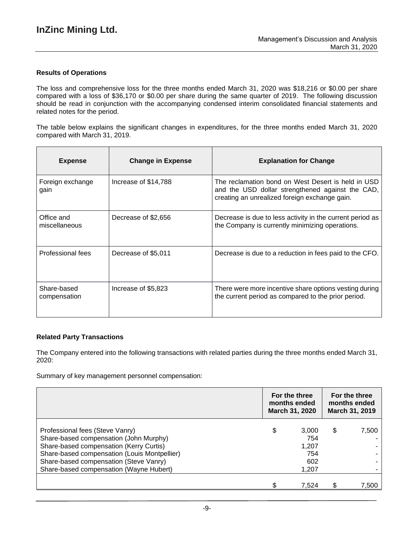### **Results of Operations**

The loss and comprehensive loss for the three months ended March 31, 2020 was \$18,216 or \$0.00 per share compared with a loss of \$36,170 or \$0.00 per share during the same quarter of 2019. The following discussion should be read in conjunction with the accompanying condensed interim consolidated financial statements and related notes for the period.

The table below explains the significant changes in expenditures, for the three months ended March 31, 2020 compared with March 31, 2019.

| <b>Expense</b>              | <b>Change in Expense</b> | <b>Explanation for Change</b>                                                                                                                           |
|-----------------------------|--------------------------|---------------------------------------------------------------------------------------------------------------------------------------------------------|
| Foreign exchange<br>gain    | Increase of \$14,788     | The reclamation bond on West Desert is held in USD<br>and the USD dollar strengthened against the CAD,<br>creating an unrealized foreign exchange gain. |
| Office and<br>miscellaneous | Decrease of \$2,656      | Decrease is due to less activity in the current period as<br>the Company is currently minimizing operations.                                            |
| Professional fees           | Decrease of \$5,011      | Decrease is due to a reduction in fees paid to the CFO.                                                                                                 |
| Share-based<br>compensation | Increase of \$5,823      | There were more incentive share options vesting during<br>the current period as compared to the prior period.                                           |

#### **Related Party Transactions**

The Company entered into the following transactions with related parties during the three months ended March 31, 2020:

Summary of key management personnel compensation:

|                                              | For the three<br>months ended<br><b>March 31, 2020</b> |       | For the three<br>months ended<br>March 31, 2019 |       |
|----------------------------------------------|--------------------------------------------------------|-------|-------------------------------------------------|-------|
| Professional fees (Steve Vanry)              | \$                                                     | 3,000 | \$                                              | 7,500 |
| Share-based compensation (John Murphy)       |                                                        | 754   |                                                 |       |
| Share-based compensation (Kerry Curtis)      |                                                        | 1,207 |                                                 |       |
| Share-based compensation (Louis Montpellier) |                                                        | 754   |                                                 |       |
| Share-based compensation (Steve Vanry)       |                                                        | 602   |                                                 |       |
| Share-based compensation (Wayne Hubert)      |                                                        | 1,207 |                                                 |       |
|                                              |                                                        |       |                                                 |       |
|                                              |                                                        | 7,524 |                                                 | 7,500 |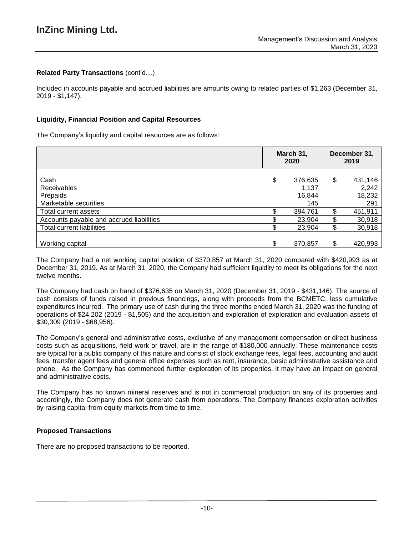## **Related Party Transactions** (cont'd…)

Included in accounts payable and accrued liabilities are amounts owing to related parties of \$1,263 (December 31, 2019 - \$1,147).

### **Liquidity, Financial Position and Capital Resources**

The Company's liquidity and capital resources are as follows:

|                                          | March 31,<br>2020 |         | December 31,<br>2019 |         |
|------------------------------------------|-------------------|---------|----------------------|---------|
| Cash                                     | \$                | 376,635 | \$                   | 431,146 |
| <b>Receivables</b>                       |                   | 1,137   |                      | 2,242   |
| Prepaids                                 |                   | 16,844  |                      | 18,232  |
| Marketable securities                    |                   | 145     |                      | 291     |
| Total current assets                     |                   | 394,761 | \$                   | 451,911 |
| Accounts payable and accrued liabilities |                   | 23,904  | \$                   | 30,918  |
| <b>Total current liabilities</b>         |                   | 23,904  | \$                   | 30,918  |
|                                          |                   |         |                      |         |
| Working capital                          | ¢                 | 370,857 | \$                   | 420,993 |

The Company had a net working capital position of \$370,857 at March 31, 2020 compared with \$420,993 as at December 31, 2019. As at March 31, 2020, the Company had sufficient liquidity to meet its obligations for the next twelve months.

The Company had cash on hand of \$376,635 on March 31, 2020 (December 31, 2019 - \$431,146). The source of cash consists of funds raised in previous financings, along with proceeds from the BCMETC, less cumulative expenditures incurred. The primary use of cash during the three months ended March 31, 2020 was the funding of operations of \$24,202 (2019 - \$1,505) and the acquisition and exploration of exploration and evaluation assets of \$30,309 (2019 - \$68,956).

The Company's general and administrative costs, exclusive of any management compensation or direct business costs such as acquisitions, field work or travel, are in the range of \$180,000 annually. These maintenance costs are typical for a public company of this nature and consist of stock exchange fees, legal fees, accounting and audit fees, transfer agent fees and general office expenses such as rent, insurance, basic administrative assistance and phone. As the Company has commenced further exploration of its properties, it may have an impact on general and administrative costs.

The Company has no known mineral reserves and is not in commercial production on any of its properties and accordingly, the Company does not generate cash from operations. The Company finances exploration activities by raising capital from equity markets from time to time.

### **Proposed Transactions**

There are no proposed transactions to be reported.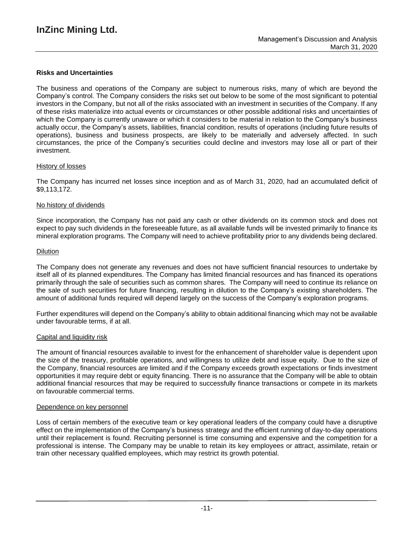### **Risks and Uncertainties**

The business and operations of the Company are subject to numerous risks, many of which are beyond the Company's control. The Company considers the risks set out below to be some of the most significant to potential investors in the Company, but not all of the risks associated with an investment in securities of the Company. If any of these risks materialize into actual events or circumstances or other possible additional risks and uncertainties of which the Company is currently unaware or which it considers to be material in relation to the Company's business actually occur, the Company's assets, liabilities, financial condition, results of operations (including future results of operations), business and business prospects, are likely to be materially and adversely affected. In such circumstances, the price of the Company's securities could decline and investors may lose all or part of their investment.

#### History of losses

The Company has incurred net losses since inception and as of March 31, 2020, had an accumulated deficit of \$9,113,172.

#### No history of dividends

Since incorporation, the Company has not paid any cash or other dividends on its common stock and does not expect to pay such dividends in the foreseeable future, as all available funds will be invested primarily to finance its mineral exploration programs. The Company will need to achieve profitability prior to any dividends being declared.

#### Dilution

The Company does not generate any revenues and does not have sufficient financial resources to undertake by itself all of its planned expenditures. The Company has limited financial resources and has financed its operations primarily through the sale of securities such as common shares. The Company will need to continue its reliance on the sale of such securities for future financing, resulting in dilution to the Company's existing shareholders. The amount of additional funds required will depend largely on the success of the Company's exploration programs.

Further expenditures will depend on the Company's ability to obtain additional financing which may not be available under favourable terms, if at all.

#### Capital and liquidity risk

The amount of financial resources available to invest for the enhancement of shareholder value is dependent upon the size of the treasury, profitable operations, and willingness to utilize debt and issue equity. Due to the size of the Company, financial resources are limited and if the Company exceeds growth expectations or finds investment opportunities it may require debt or equity financing. There is no assurance that the Company will be able to obtain additional financial resources that may be required to successfully finance transactions or compete in its markets on favourable commercial terms.

#### Dependence on key personnel

Loss of certain members of the executive team or key operational leaders of the company could have a disruptive effect on the implementation of the Company's business strategy and the efficient running of day-to-day operations until their replacement is found. Recruiting personnel is time consuming and expensive and the competition for a professional is intense. The Company may be unable to retain its key employees or attract, assimilate, retain or train other necessary qualified employees, which may restrict its growth potential.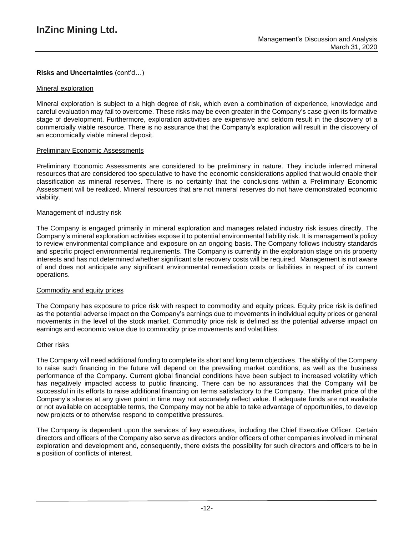## **Risks and Uncertainties** (cont'd…)

### Mineral exploration

Mineral exploration is subject to a high degree of risk, which even a combination of experience, knowledge and careful evaluation may fail to overcome. These risks may be even greater in the Company's case given its formative stage of development. Furthermore, exploration activities are expensive and seldom result in the discovery of a commercially viable resource. There is no assurance that the Company's exploration will result in the discovery of an economically viable mineral deposit.

#### Preliminary Economic Assessments

Preliminary Economic Assessments are considered to be preliminary in nature. They include inferred mineral resources that are considered too speculative to have the economic considerations applied that would enable their classification as mineral reserves. There is no certainty that the conclusions within a Preliminary Economic Assessment will be realized. Mineral resources that are not mineral reserves do not have demonstrated economic viability.

### Management of industry risk

The Company is engaged primarily in mineral exploration and manages related industry risk issues directly. The Company's mineral exploration activities expose it to potential environmental liability risk. It is management's policy to review environmental compliance and exposure on an ongoing basis. The Company follows industry standards and specific project environmental requirements. The Company is currently in the exploration stage on its property interests and has not determined whether significant site recovery costs will be required. Management is not aware of and does not anticipate any significant environmental remediation costs or liabilities in respect of its current operations.

#### Commodity and equity prices

The Company has exposure to price risk with respect to commodity and equity prices. Equity price risk is defined as the potential adverse impact on the Company's earnings due to movements in individual equity prices or general movements in the level of the stock market. Commodity price risk is defined as the potential adverse impact on earnings and economic value due to commodity price movements and volatilities.

#### Other risks

The Company will need additional funding to complete its short and long term objectives. The ability of the Company to raise such financing in the future will depend on the prevailing market conditions, as well as the business performance of the Company. Current global financial conditions have been subject to increased volatility which has negatively impacted access to public financing. There can be no assurances that the Company will be successful in its efforts to raise additional financing on terms satisfactory to the Company. The market price of the Company's shares at any given point in time may not accurately reflect value. If adequate funds are not available or not available on acceptable terms, the Company may not be able to take advantage of opportunities, to develop new projects or to otherwise respond to competitive pressures.

The Company is dependent upon the services of key executives, including the Chief Executive Officer. Certain directors and officers of the Company also serve as directors and/or officers of other companies involved in mineral exploration and development and, consequently, there exists the possibility for such directors and officers to be in a position of conflicts of interest.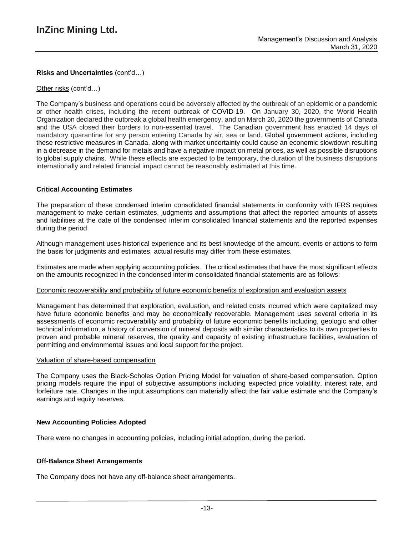## **Risks and Uncertainties** (cont'd…)

### Other risks (cont'd…)

The Company's business and operations could be adversely affected by the outbreak of an epidemic or a pandemic or other health crises, including the recent outbreak of COVID-19. On January 30, 2020, the World Health Organization declared the outbreak a global health emergency, and on March 20, 2020 the governments of Canada and the USA closed their borders to non-essential travel. The Canadian government has enacted 14 days of mandatory quarantine for any person entering Canada by air, sea or land. Global government actions, including these restrictive measures in Canada, along with market uncertainty could cause an economic slowdown resulting in a decrease in the demand for metals and have a negative impact on metal prices, as well as possible disruptions to global supply chains. While these effects are expected to be temporary, the duration of the business disruptions internationally and related financial impact cannot be reasonably estimated at this time.

### **Critical Accounting Estimates**

The preparation of these condensed interim consolidated financial statements in conformity with IFRS requires management to make certain estimates, judgments and assumptions that affect the reported amounts of assets and liabilities at the date of the condensed interim consolidated financial statements and the reported expenses during the period.

Although management uses historical experience and its best knowledge of the amount, events or actions to form the basis for judgments and estimates, actual results may differ from these estimates.

Estimates are made when applying accounting policies. The critical estimates that have the most significant effects on the amounts recognized in the condensed interim consolidated financial statements are as follows:

#### Economic recoverability and probability of future economic benefits of exploration and evaluation assets

Management has determined that exploration, evaluation, and related costs incurred which were capitalized may have future economic benefits and may be economically recoverable. Management uses several criteria in its assessments of economic recoverability and probability of future economic benefits including, geologic and other technical information, a history of conversion of mineral deposits with similar characteristics to its own properties to proven and probable mineral reserves, the quality and capacity of existing infrastructure facilities, evaluation of permitting and environmental issues and local support for the project.

#### Valuation of share-based compensation

The Company uses the Black-Scholes Option Pricing Model for valuation of share-based compensation. Option pricing models require the input of subjective assumptions including expected price volatility, interest rate, and forfeiture rate. Changes in the input assumptions can materially affect the fair value estimate and the Company's earnings and equity reserves.

#### **New Accounting Policies Adopted**

There were no changes in accounting policies, including initial adoption, during the period.

#### **Off-Balance Sheet Arrangements**

The Company does not have any off-balance sheet arrangements.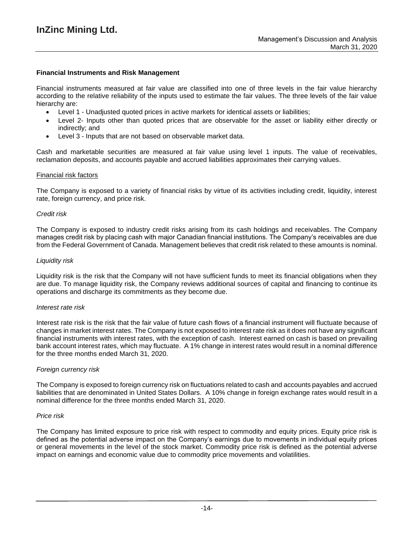### **Financial Instruments and Risk Management**

Financial instruments measured at fair value are classified into one of three levels in the fair value hierarchy according to the relative reliability of the inputs used to estimate the fair values. The three levels of the fair value hierarchy are:

- Level 1 Unadjusted quoted prices in active markets for identical assets or liabilities;
- Level 2- Inputs other than quoted prices that are observable for the asset or liability either directly or indirectly; and
- Level 3 Inputs that are not based on observable market data.

Cash and marketable securities are measured at fair value using level 1 inputs. The value of receivables, reclamation deposits, and accounts payable and accrued liabilities approximates their carrying values.

#### Financial risk factors

The Company is exposed to a variety of financial risks by virtue of its activities including credit, liquidity, interest rate, foreign currency, and price risk.

### *Credit risk*

The Company is exposed to industry credit risks arising from its cash holdings and receivables. The Company manages credit risk by placing cash with major Canadian financial institutions. The Company's receivables are due from the Federal Government of Canada. Management believes that credit risk related to these amounts is nominal.

#### *Liquidity risk*

Liquidity risk is the risk that the Company will not have sufficient funds to meet its financial obligations when they are due. To manage liquidity risk, the Company reviews additional sources of capital and financing to continue its operations and discharge its commitments as they become due.

#### *Interest rate risk*

Interest rate risk is the risk that the fair value of future cash flows of a financial instrument will fluctuate because of changes in market interest rates. The Company is not exposed to interest rate risk as it does not have any significant financial instruments with interest rates, with the exception of cash. Interest earned on cash is based on prevailing bank account interest rates, which may fluctuate. A 1% change in interest rates would result in a nominal difference for the three months ended March 31, 2020.

### *Foreign currency risk*

The Company is exposed to foreign currency risk on fluctuations related to cash and accounts payables and accrued liabilities that are denominated in United States Dollars. A 10% change in foreign exchange rates would result in a nominal difference for the three months ended March 31, 2020.

#### *Price risk*

The Company has limited exposure to price risk with respect to commodity and equity prices. Equity price risk is defined as the potential adverse impact on the Company's earnings due to movements in individual equity prices or general movements in the level of the stock market. Commodity price risk is defined as the potential adverse impact on earnings and economic value due to commodity price movements and volatilities.